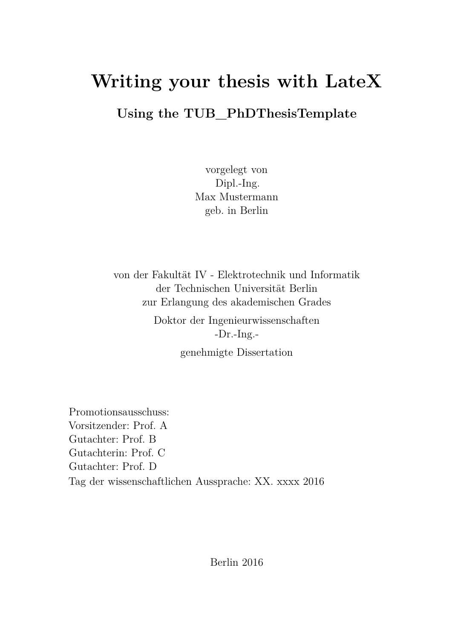# <span id="page-0-1"></span><span id="page-0-0"></span>**Writing your thesis with LateX**

#### **Using the TUB\_PhDThesisTemplate**

vorgelegt von Dipl.-Ing. Max Mustermann geb. in Berlin

von der Fakultät IV - Elektrotechnik und Informatik der Technischen Universität Berlin zur Erlangung des akademischen Grades

> Doktor der Ingenieurwissenschaften -Dr.-Ing.-

genehmigte Dissertation

Promotionsausschuss: Vorsitzender: Prof. A Gutachter: Prof. B Gutachterin: Prof. C Gutachter: Prof. D Tag der wissenschaftlichen Aussprache: XX. xxxx 2016

Berlin 2016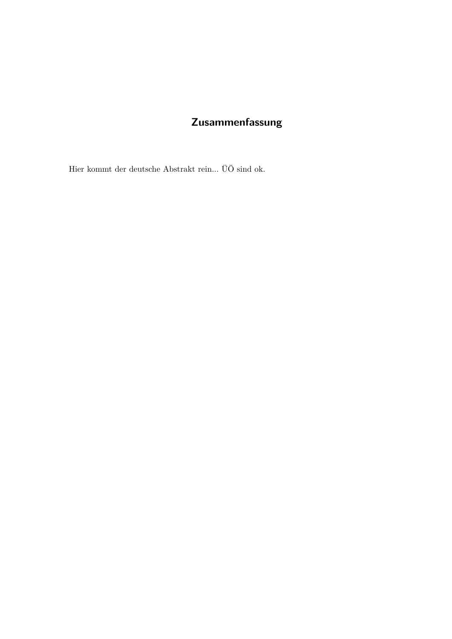#### Zusammenfassung

<span id="page-2-0"></span>Hier kommt der deutsche Abstrakt rein... $\ddot{\text{U}}\ddot{\text{O}}$ sind ok.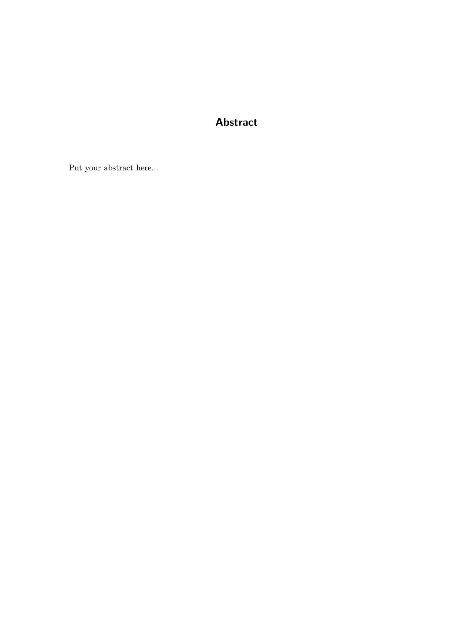#### **Abstract**

<span id="page-4-0"></span>Put your abstract here...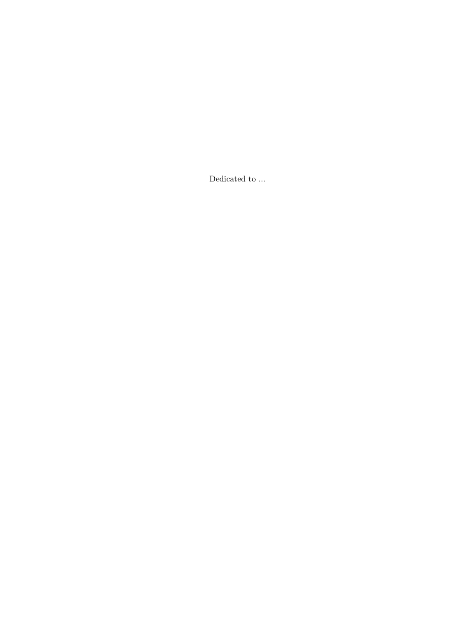Dedicated to  $\ldots$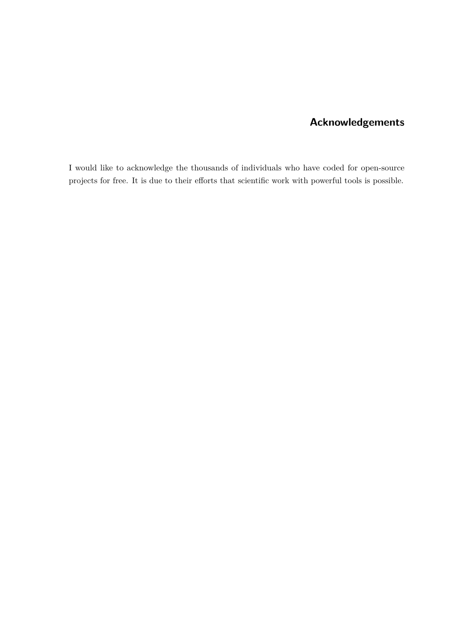#### **Acknowledgements**

I would like to acknowledge the thousands of individuals who have coded for open-source projects for free. It is due to their efforts that scientific work with powerful tools is possible.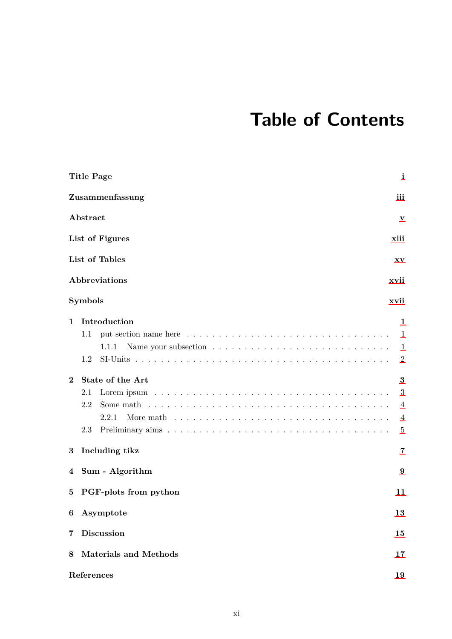## **Table of Contents**

|              | <b>Title Page</b>                                                                                                           | i                                               |
|--------------|-----------------------------------------------------------------------------------------------------------------------------|-------------------------------------------------|
|              | Zusammenfassung                                                                                                             | iii                                             |
|              | Abstract                                                                                                                    | v                                               |
|              | List of Figures                                                                                                             | xiii                                            |
|              | List of Tables                                                                                                              | $\mathbf{X}\mathbf{V}$                          |
|              | Abbreviations                                                                                                               | xvii                                            |
|              | <b>Symbols</b>                                                                                                              | xvii                                            |
| $\mathbf{1}$ | Introduction<br>put section name here $\ldots \ldots \ldots \ldots \ldots \ldots \ldots \ldots \ldots \ldots \ldots$<br>1.1 | 1<br>$\mathbf{1}$                               |
|              | 1.1.1<br>1.2                                                                                                                | 1<br>$\overline{2}$                             |
| $\bf{2}$     | State of the Art<br>2.1<br>2.2<br>2.2.1<br>2.3                                                                              | 3<br>3<br>4<br>$\overline{4}$<br>$\overline{5}$ |
| 3            | Including tikz                                                                                                              | 7                                               |
| 4            | Sum - Algorithm                                                                                                             | 9                                               |
| 5.           | PGF-plots from python                                                                                                       | 11                                              |
|              | 6 Asymptote                                                                                                                 | 13                                              |
| 7            | <b>Discussion</b>                                                                                                           | 15                                              |
| 8            | <b>Materials and Methods</b>                                                                                                | 17                                              |
|              | References                                                                                                                  | 19                                              |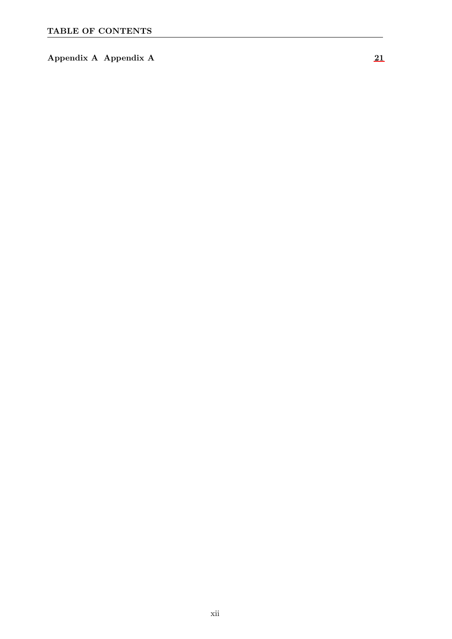**Appendix A Appendix A [21](#page-38-0)**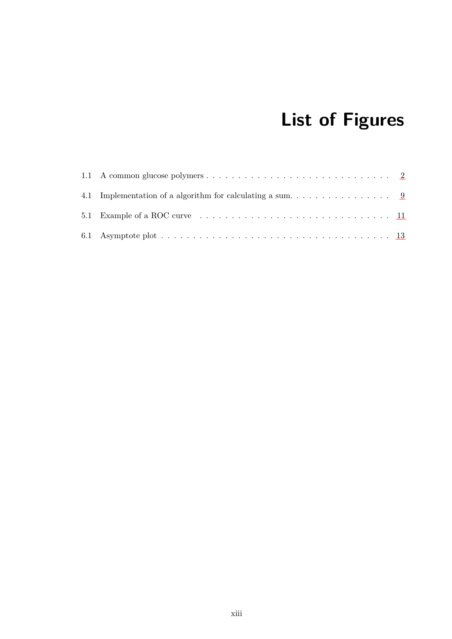# **List of Figures**

<span id="page-12-0"></span>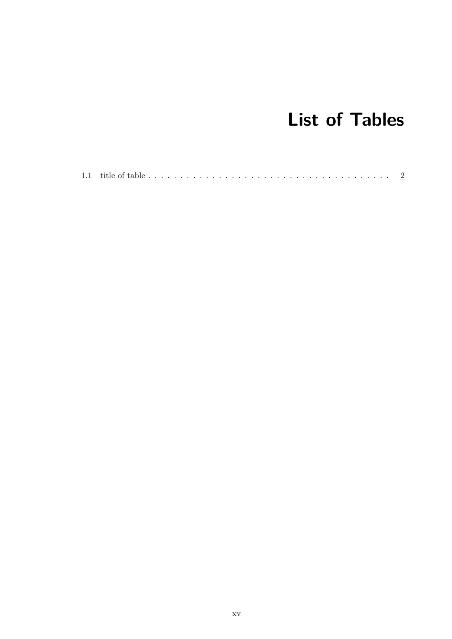# **List of Tables**

<span id="page-14-0"></span>

|--|--|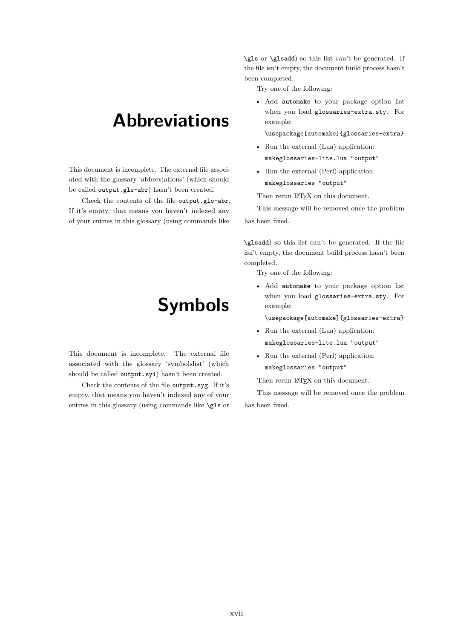#### <span id="page-16-0"></span>**Abbreviations**

This document is incomplete. The external file associated with the glossary 'abbreviations' (which should be called output.gls-abr) hasn't been created.

<span id="page-16-1"></span>Check the contents of the file output.glo-abr. If it's empty, that means you haven't indexed any of your entries in this glossary (using commands like

#### **Symbols**

This document is incomplete. The external file associated with the glossary 'symbolslist' (which should be called output.syi) hasn't been created.

Check the contents of the file output.syg. If it's empty, that means you haven't indexed any of your entries in this glossary (using commands like \gls or \gls or \glsadd) so this list can't be generated. If the file isn't empty, the document build process hasn't been completed.

Try one of the following:

• Add automake to your package option list when you load glossaries-extra.sty. For example:

\usepackage[automake]{glossaries-extra}

- Run the external (Lua) application: makeglossaries-lite.lua "output"
- Run the external (Perl) application:
- makeglossaries "output"

Then rerun LATEX on this document.

This message will be removed once the problem has been fixed.

\glsadd) so this list can't be generated. If the file isn't empty, the document build process hasn't been completed.

Try one of the following:

• Add automake to your package option list when you load glossaries-extra.sty. For example:

\usepackage[automake]{glossaries-extra}

- Run the external (Lua) application: makeglossaries-lite.lua "output"
- Run the external (Perl) application: makeglossaries "output"

Then rerun LATEX on this document.

This message will be removed once the problem has been fixed.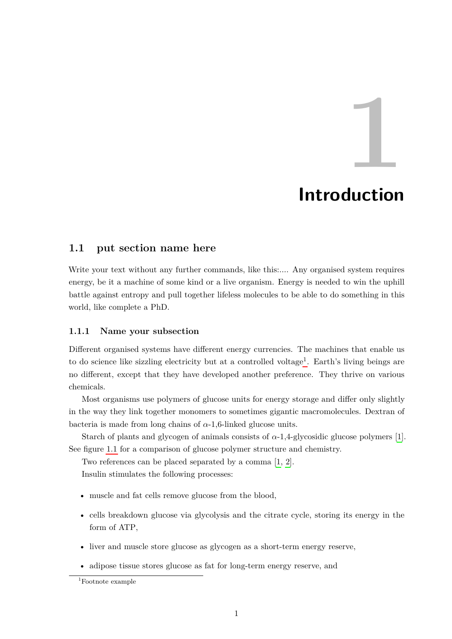#### **Introduction**

#### <span id="page-18-1"></span><span id="page-18-0"></span>**1.1 put section name here**

Write your text without any further commands, like this:.... Any organised system requires energy, be it a machine of some kind or a live organism. Energy is needed to win the uphill battle against entropy and pull together lifeless molecules to be able to do something in this world, like complete a PhD.

#### <span id="page-18-2"></span>**1.1.1 Name your subsection**

Different organised systems have different energy currencies. The machines that enable us to do science like sizzling electricity but at a controlled voltage<sup>[1](#page-0-1)</sup>. Earth's living beings are no different, except that they have developed another preference. They thrive on various chemicals.

Most organisms use polymers of glucose units for energy storage and differ only slightly in the way they link together monomers to sometimes gigantic macromolecules. Dextran of bacteria is made from long chains of *α*-1,6-linked glucose units.

Starch of plants and glycogen of animals consists of  $\alpha$ -1,4-glycosidic glucose polymers [\[1\]](#page-36-1). See figure [1.1](#page-19-1) for a comparison of glucose polymer structure and chemistry.

Two references can be placed separated by a comma [\[1,](#page-36-1) [2\]](#page-36-2).

Insulin stimulates the following processes:

- muscle and fat cells remove glucose from the blood,
- cells breakdown glucose via glycolysis and the citrate cycle, storing its energy in the form of ATP,
- liver and muscle store glucose as glycogen as a short-term energy reserve,
- adipose tissue stores glucose as fat for long-term energy reserve, and

<sup>1</sup>Footnote example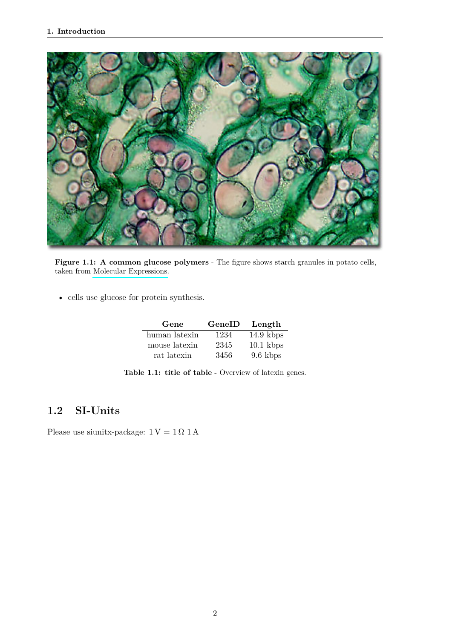<span id="page-19-1"></span>

Figure 1.1: A common glucose polymers - The figure shows starch granules in potato cells, taken from [Molecular Expressions.](http://molecularexpressions.com/micro/gallery/burgersnfries/burgersnfries4.html)

<span id="page-19-2"></span>• cells use glucose for protein synthesis.

| Gene          | GeneID | Length      |
|---------------|--------|-------------|
| human latexin | 1234   | $14.9$ kbps |
| mouse latexin | 2345   | $10.1$ kbps |
| rat latexin   | 3456   | 9.6 kbps    |

**Table 1.1: title of table** - Overview of latexin genes.

#### <span id="page-19-0"></span>**1.2 SI-Units**

Please use siunitx-package:  $1\,\mathrm{V} = 1\,\Omega$   $1\,\mathrm{A}$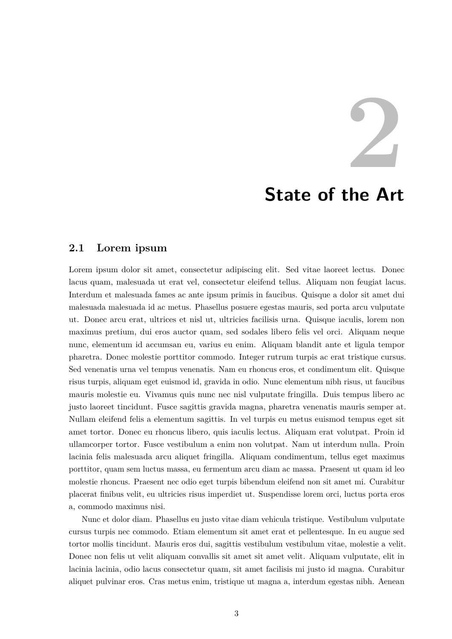#### **State of the Art**

#### <span id="page-20-1"></span><span id="page-20-0"></span>**2.1 Lorem ipsum**

Lorem ipsum dolor sit amet, consectetur adipiscing elit. Sed vitae laoreet lectus. Donec lacus quam, malesuada ut erat vel, consectetur eleifend tellus. Aliquam non feugiat lacus. Interdum et malesuada fames ac ante ipsum primis in faucibus. Quisque a dolor sit amet dui malesuada malesuada id ac metus. Phasellus posuere egestas mauris, sed porta arcu vulputate ut. Donec arcu erat, ultrices et nisl ut, ultricies facilisis urna. Quisque iaculis, lorem non maximus pretium, dui eros auctor quam, sed sodales libero felis vel orci. Aliquam neque nunc, elementum id accumsan eu, varius eu enim. Aliquam blandit ante et ligula tempor pharetra. Donec molestie porttitor commodo. Integer rutrum turpis ac erat tristique cursus. Sed venenatis urna vel tempus venenatis. Nam eu rhoncus eros, et condimentum elit. Quisque risus turpis, aliquam eget euismod id, gravida in odio. Nunc elementum nibh risus, ut faucibus mauris molestie eu. Vivamus quis nunc nec nisl vulputate fringilla. Duis tempus libero ac justo laoreet tincidunt. Fusce sagittis gravida magna, pharetra venenatis mauris semper at. Nullam eleifend felis a elementum sagittis. In vel turpis eu metus euismod tempus eget sit amet tortor. Donec eu rhoncus libero, quis iaculis lectus. Aliquam erat volutpat. Proin id ullamcorper tortor. Fusce vestibulum a enim non volutpat. Nam ut interdum nulla. Proin lacinia felis malesuada arcu aliquet fringilla. Aliquam condimentum, tellus eget maximus porttitor, quam sem luctus massa, eu fermentum arcu diam ac massa. Praesent ut quam id leo molestie rhoncus. Praesent nec odio eget turpis bibendum eleifend non sit amet mi. Curabitur placerat finibus velit, eu ultricies risus imperdiet ut. Suspendisse lorem orci, luctus porta eros a, commodo maximus nisi.

Nunc et dolor diam. Phasellus eu justo vitae diam vehicula tristique. Vestibulum vulputate cursus turpis nec commodo. Etiam elementum sit amet erat et pellentesque. In eu augue sed tortor mollis tincidunt. Mauris eros dui, sagittis vestibulum vestibulum vitae, molestie a velit. Donec non felis ut velit aliquam convallis sit amet sit amet velit. Aliquam vulputate, elit in lacinia lacinia, odio lacus consectetur quam, sit amet facilisis mi justo id magna. Curabitur aliquet pulvinar eros. Cras metus enim, tristique ut magna a, interdum egestas nibh. Aenean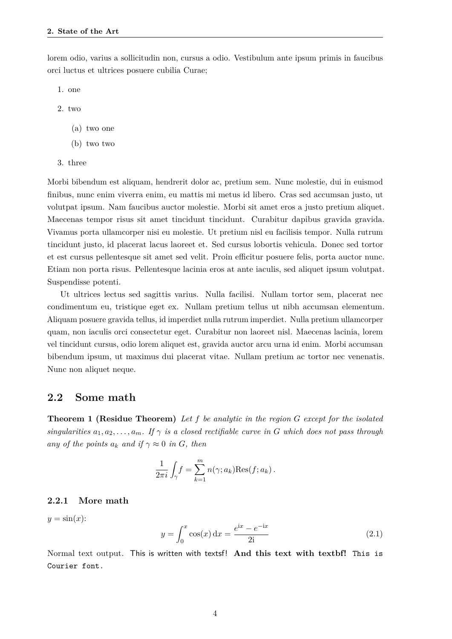lorem odio, varius a sollicitudin non, cursus a odio. Vestibulum ante ipsum primis in faucibus orci luctus et ultrices posuere cubilia Curae;

- 1. one
- 2. two
	- (a) two one
	- (b) two two
- 3. three

Morbi bibendum est aliquam, hendrerit dolor ac, pretium sem. Nunc molestie, dui in euismod finibus, nunc enim viverra enim, eu mattis mi metus id libero. Cras sed accumsan justo, ut volutpat ipsum. Nam faucibus auctor molestie. Morbi sit amet eros a justo pretium aliquet. Maecenas tempor risus sit amet tincidunt tincidunt. Curabitur dapibus gravida gravida. Vivamus porta ullamcorper nisi eu molestie. Ut pretium nisl eu facilisis tempor. Nulla rutrum tincidunt justo, id placerat lacus laoreet et. Sed cursus lobortis vehicula. Donec sed tortor et est cursus pellentesque sit amet sed velit. Proin efficitur posuere felis, porta auctor nunc. Etiam non porta risus. Pellentesque lacinia eros at ante iaculis, sed aliquet ipsum volutpat. Suspendisse potenti.

Ut ultrices lectus sed sagittis varius. Nulla facilisi. Nullam tortor sem, placerat nec condimentum eu, tristique eget ex. Nullam pretium tellus ut nibh accumsan elementum. Aliquam posuere gravida tellus, id imperdiet nulla rutrum imperdiet. Nulla pretium ullamcorper quam, non iaculis orci consectetur eget. Curabitur non laoreet nisl. Maecenas lacinia, lorem vel tincidunt cursus, odio lorem aliquet est, gravida auctor arcu urna id enim. Morbi accumsan bibendum ipsum, ut maximus dui placerat vitae. Nullam pretium ac tortor nec venenatis. Nunc non aliquet neque.

#### <span id="page-21-0"></span>**2.2 Some math**

**Theorem 1 (Residue Theorem)** *Let f be analytic in the region G except for the isolated singularities*  $a_1, a_2, \ldots, a_m$ *. If*  $\gamma$  *is a closed rectifiable curve in G* which does not pass through *any of the points*  $a_k$  *and if*  $\gamma \approx 0$  *in G, then* 

$$
\frac{1}{2\pi i} \int_{\gamma} f = \sum_{k=1}^{m} n(\gamma; a_k) \text{Res}(f; a_k).
$$

#### <span id="page-21-1"></span>**2.2.1 More math**

$$
y = \sin(x);
$$
  

$$
y = \int_0^x \cos(x) dx = \frac{e^{ix} - e^{-ix}}{2i}
$$
 (2.1)

<span id="page-21-2"></span>Normal text output. This is written with textsf! And this text with textbf! This is Courier font.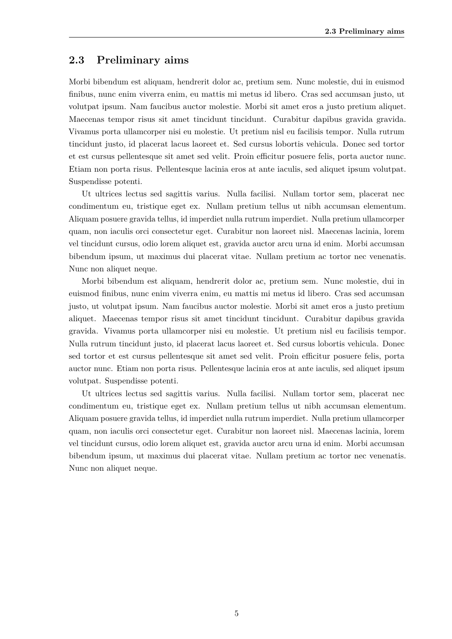#### **2.3 Preliminary aims**

Morbi bibendum est aliquam, hendrerit dolor ac, pretium sem. Nunc molestie, dui in euismod finibus, nunc enim viverra enim, eu mattis mi metus id libero. Cras sed accumsan justo, ut volutpat ipsum. Nam faucibus auctor molestie. Morbi sit amet eros a justo pretium aliquet. Maecenas tempor risus sit amet tincidunt tincidunt. Curabitur dapibus gravida gravida. Vivamus porta ullamcorper nisi eu molestie. Ut pretium nisl eu facilisis tempor. Nulla rutrum tincidunt justo, id placerat lacus laoreet et. Sed cursus lobortis vehicula. Donec sed tortor et est cursus pellentesque sit amet sed velit. Proin efficitur posuere felis, porta auctor nunc. Etiam non porta risus. Pellentesque lacinia eros at ante iaculis, sed aliquet ipsum volutpat. Suspendisse potenti.

Ut ultrices lectus sed sagittis varius. Nulla facilisi. Nullam tortor sem, placerat nec condimentum eu, tristique eget ex. Nullam pretium tellus ut nibh accumsan elementum. Aliquam posuere gravida tellus, id imperdiet nulla rutrum imperdiet. Nulla pretium ullamcorper quam, non iaculis orci consectetur eget. Curabitur non laoreet nisl. Maecenas lacinia, lorem vel tincidunt cursus, odio lorem aliquet est, gravida auctor arcu urna id enim. Morbi accumsan bibendum ipsum, ut maximus dui placerat vitae. Nullam pretium ac tortor nec venenatis. Nunc non aliquet neque.

Morbi bibendum est aliquam, hendrerit dolor ac, pretium sem. Nunc molestie, dui in euismod finibus, nunc enim viverra enim, eu mattis mi metus id libero. Cras sed accumsan justo, ut volutpat ipsum. Nam faucibus auctor molestie. Morbi sit amet eros a justo pretium aliquet. Maecenas tempor risus sit amet tincidunt tincidunt. Curabitur dapibus gravida gravida. Vivamus porta ullamcorper nisi eu molestie. Ut pretium nisl eu facilisis tempor. Nulla rutrum tincidunt justo, id placerat lacus laoreet et. Sed cursus lobortis vehicula. Donec sed tortor et est cursus pellentesque sit amet sed velit. Proin efficitur posuere felis, porta auctor nunc. Etiam non porta risus. Pellentesque lacinia eros at ante iaculis, sed aliquet ipsum volutpat. Suspendisse potenti.

Ut ultrices lectus sed sagittis varius. Nulla facilisi. Nullam tortor sem, placerat nec condimentum eu, tristique eget ex. Nullam pretium tellus ut nibh accumsan elementum. Aliquam posuere gravida tellus, id imperdiet nulla rutrum imperdiet. Nulla pretium ullamcorper quam, non iaculis orci consectetur eget. Curabitur non laoreet nisl. Maecenas lacinia, lorem vel tincidunt cursus, odio lorem aliquet est, gravida auctor arcu urna id enim. Morbi accumsan bibendum ipsum, ut maximus dui placerat vitae. Nullam pretium ac tortor nec venenatis. Nunc non aliquet neque.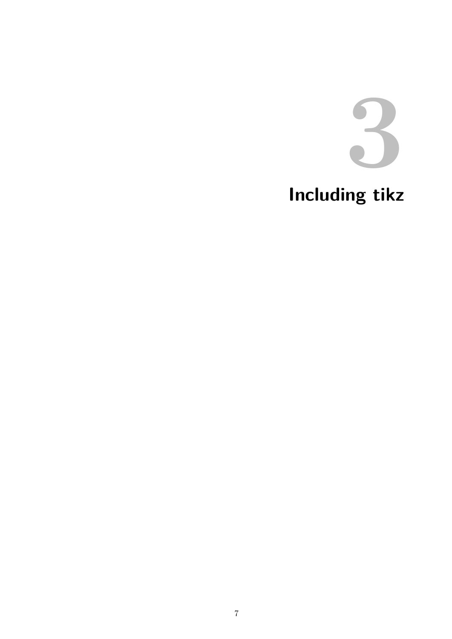

# <span id="page-24-0"></span>Including tikz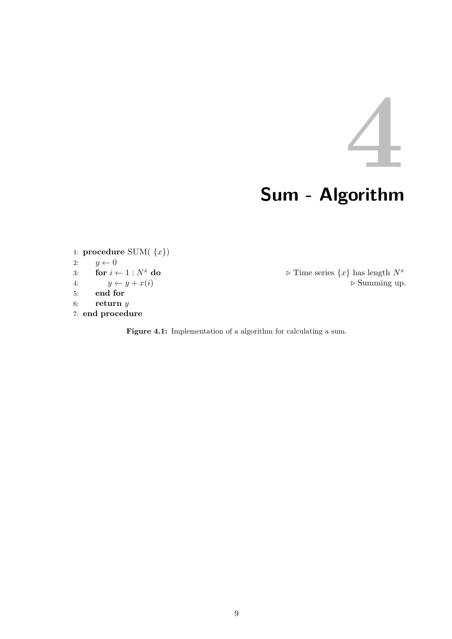# **Sum - Algorithm**

<span id="page-26-1"></span><span id="page-26-0"></span>1: **procedure** SUM( {*x*}) 2:  $y \leftarrow 0$ <br>3: **for**  $i \leftarrow 1 : N^x$  do 5: **end for** 6: **return** *y* 7: **end procedure**

3: **for**  $i \leftarrow 1 : N^x$  **do**  $\triangleright$  Time series  $\{x\}$  has length  $N^x$ 4:  $y \leftarrow y + x(i)$   $\triangleright$  Summing up.

Figure 4.1: Implementation of a algorithm for calculating a sum.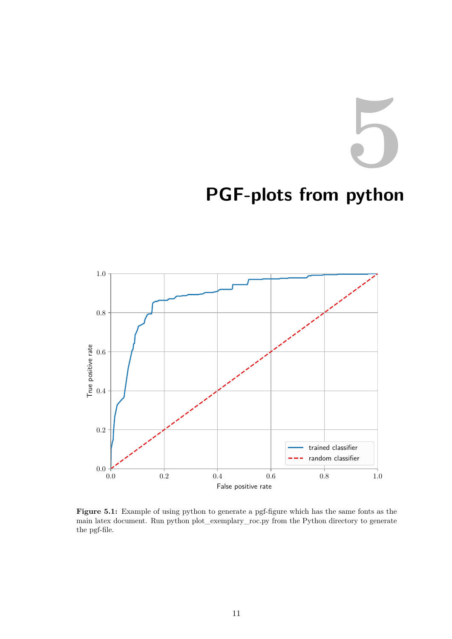# <span id="page-28-0"></span>**PGF-plots from python**

<span id="page-28-1"></span>

Figure 5.1: Example of using python to generate a pgf-figure which has the same fonts as the main latex document. Run python plot\_exemplary\_roc.py from the Python directory to generate the pgf-file.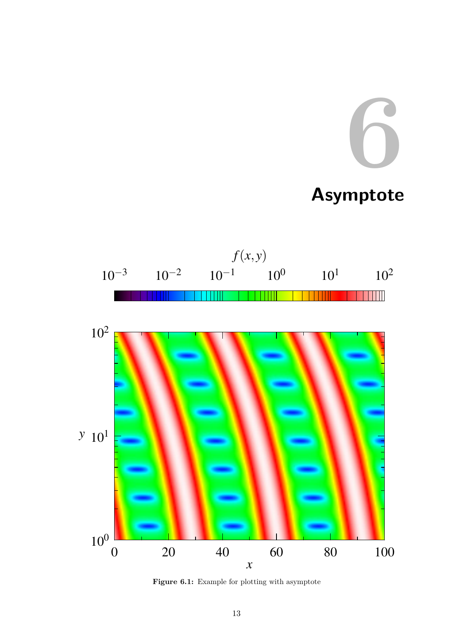# **Asymptote**

<span id="page-30-1"></span><span id="page-30-0"></span>

Figure 6.1: Example for plotting with asymptote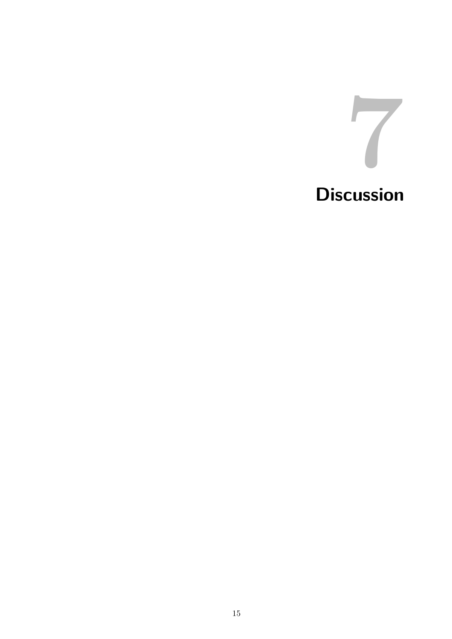<span id="page-32-0"></span>

# **Discussion**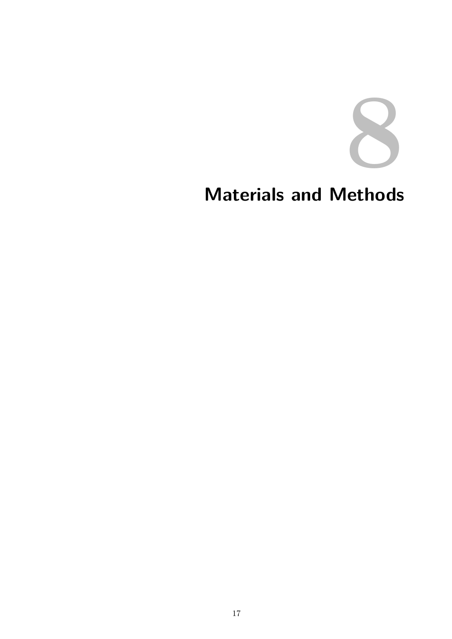

# <span id="page-34-0"></span>**Materials and Methods**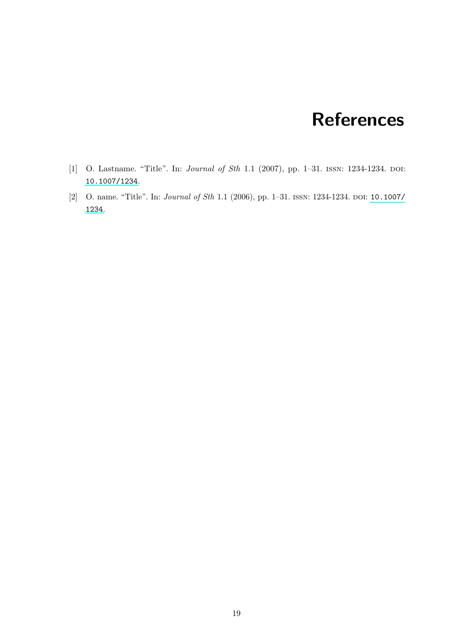#### **References**

- <span id="page-36-1"></span><span id="page-36-0"></span>[1] O. Lastname. "Title". In: *Journal of Sth* 1.1 (2007), pp. 1-31. ISSN: 1234-1234. DOI: [10.1007/1234](http://dx.doi.org/10.1007/1234).
- <span id="page-36-2"></span>[2] O. name. "Title". In: *Journal of Sth* 1.1 (2006), pp. 1–31. issn: 1234-1234. doi: [10.1007/](http://dx.doi.org/10.1007/1234) [1234](http://dx.doi.org/10.1007/1234).